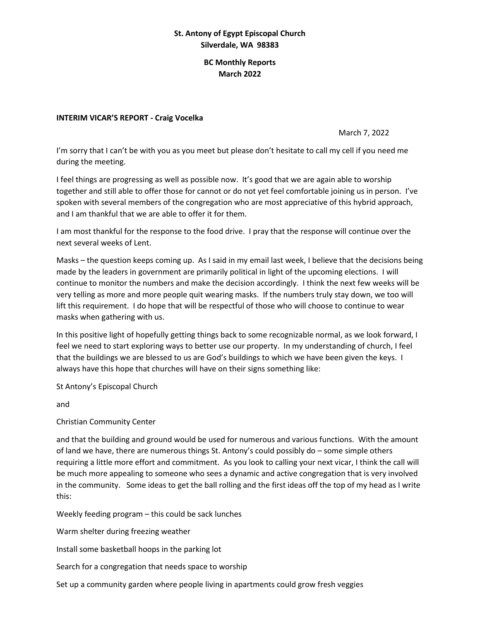# **St. Antony of Egypt Episcopal Church Silverdale, WA 98383**

# **BC Monthly Reports March 2022**

### **INTERIM VICAR'S REPORT - Craig Vocelka**

March 7, 2022

I'm sorry that I can't be with you as you meet but please don't hesitate to call my cell if you need me during the meeting.

I feel things are progressing as well as possible now. It's good that we are again able to worship together and still able to offer those for cannot or do not yet feel comfortable joining us in person. I've spoken with several members of the congregation who are most appreciative of this hybrid approach, and I am thankful that we are able to offer it for them.

I am most thankful for the response to the food drive. I pray that the response will continue over the next several weeks of Lent.

Masks – the question keeps coming up. As I said in my email last week, I believe that the decisions being made by the leaders in government are primarily political in light of the upcoming elections. I will continue to monitor the numbers and make the decision accordingly. I think the next few weeks will be very telling as more and more people quit wearing masks. If the numbers truly stay down, we too will lift this requirement. I do hope that will be respectful of those who will choose to continue to wear masks when gathering with us.

In this positive light of hopefully getting things back to some recognizable normal, as we look forward, I feel we need to start exploring ways to better use our property. In my understanding of church, I feel that the buildings we are blessed to us are God's buildings to which we have been given the keys. I always have this hope that churches will have on their signs something like:

St Antony's Episcopal Church

and

Christian Community Center

and that the building and ground would be used for numerous and various functions. With the amount of land we have, there are numerous things St. Antony's could possibly do – some simple others requiring a little more effort and commitment. As you look to calling your next vicar, I think the call will be much more appealing to someone who sees a dynamic and active congregation that is very involved in the community. Some ideas to get the ball rolling and the first ideas off the top of my head as I write this:

Weekly feeding program – this could be sack lunches

Warm shelter during freezing weather

Install some basketball hoops in the parking lot

Search for a congregation that needs space to worship

Set up a community garden where people living in apartments could grow fresh veggies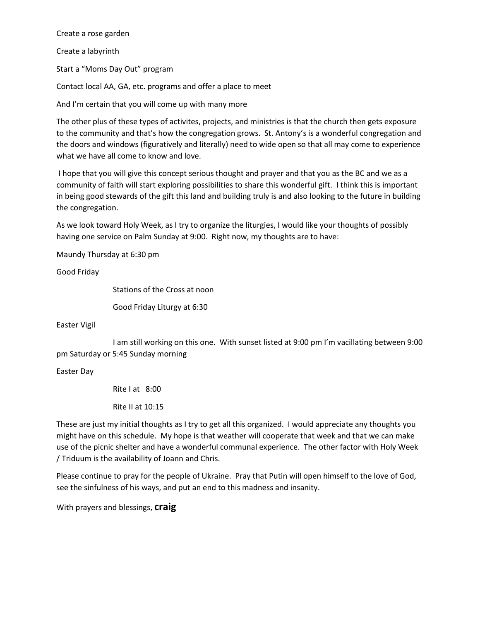Create a rose garden

Create a labyrinth

Start a "Moms Day Out" program

Contact local AA, GA, etc. programs and offer a place to meet

And I'm certain that you will come up with many more

The other plus of these types of activites, projects, and ministries is that the church then gets exposure to the community and that's how the congregation grows. St. Antony's is a wonderful congregation and the doors and windows (figuratively and literally) need to wide open so that all may come to experience what we have all come to know and love.

I hope that you will give this concept serious thought and prayer and that you as the BC and we as a community of faith will start exploring possibilities to share this wonderful gift. I think this is important in being good stewards of the gift this land and building truly is and also looking to the future in building the congregation.

As we look toward Holy Week, as I try to organize the liturgies, I would like your thoughts of possibly having one service on Palm Sunday at 9:00. Right now, my thoughts are to have:

Maundy Thursday at 6:30 pm

Good Friday

Stations of the Cross at noon

Good Friday Liturgy at 6:30

Easter Vigil

I am still working on this one. With sunset listed at 9:00 pm I'm vacillating between 9:00 pm Saturday or 5:45 Sunday morning

Easter Day

Rite I at 8:00

Rite II at 10:15

These are just my initial thoughts as I try to get all this organized. I would appreciate any thoughts you might have on this schedule. My hope is that weather will cooperate that week and that we can make use of the picnic shelter and have a wonderful communal experience. The other factor with Holy Week / Triduum is the availability of Joann and Chris.

Please continue to pray for the people of Ukraine. Pray that Putin will open himself to the love of God, see the sinfulness of his ways, and put an end to this madness and insanity.

With prayers and blessings, **craig**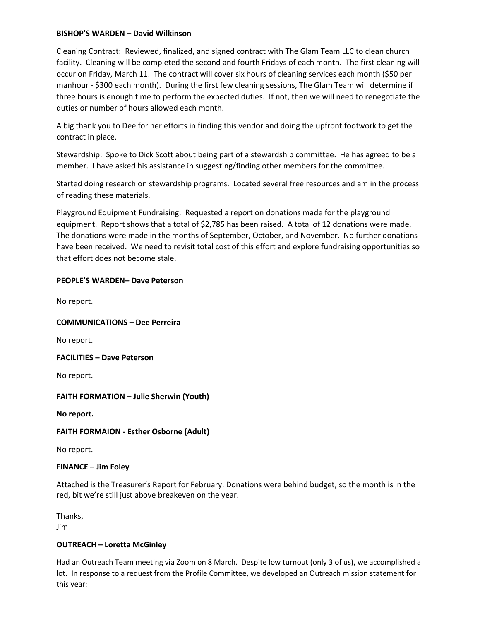### **BISHOP'S WARDEN – David Wilkinson**

Cleaning Contract: Reviewed, finalized, and signed contract with The Glam Team LLC to clean church facility. Cleaning will be completed the second and fourth Fridays of each month. The first cleaning will occur on Friday, March 11. The contract will cover six hours of cleaning services each month (\$50 per manhour - \$300 each month). During the first few cleaning sessions, The Glam Team will determine if three hours is enough time to perform the expected duties. If not, then we will need to renegotiate the duties or number of hours allowed each month.

A big thank you to Dee for her efforts in finding this vendor and doing the upfront footwork to get the contract in place.

Stewardship: Spoke to Dick Scott about being part of a stewardship committee. He has agreed to be a member. I have asked his assistance in suggesting/finding other members for the committee.

Started doing research on stewardship programs. Located several free resources and am in the process of reading these materials.

Playground Equipment Fundraising: Requested a report on donations made for the playground equipment. Report shows that a total of \$2,785 has been raised. A total of 12 donations were made. The donations were made in the months of September, October, and November. No further donations have been received. We need to revisit total cost of this effort and explore fundraising opportunities so that effort does not become stale.

## **PEOPLE'S WARDEN– Dave Peterson**

No report.

**COMMUNICATIONS – Dee Perreira**

No report.

**FACILITIES – Dave Peterson**

No report.

## **FAITH FORMATION – Julie Sherwin (Youth)**

**No report.**

## **FAITH FORMAION - Esther Osborne (Adult)**

No report.

#### **FINANCE – Jim Foley**

Attached is the Treasurer's Report for February. Donations were behind budget, so the month is in the red, bit we're still just above breakeven on the year.

Thanks, Jim

#### **OUTREACH – Loretta McGinley**

Had an Outreach Team meeting via Zoom on 8 March. Despite low turnout (only 3 of us), we accomplished a lot. In response to a request from the Profile Committee, we developed an Outreach mission statement for this year: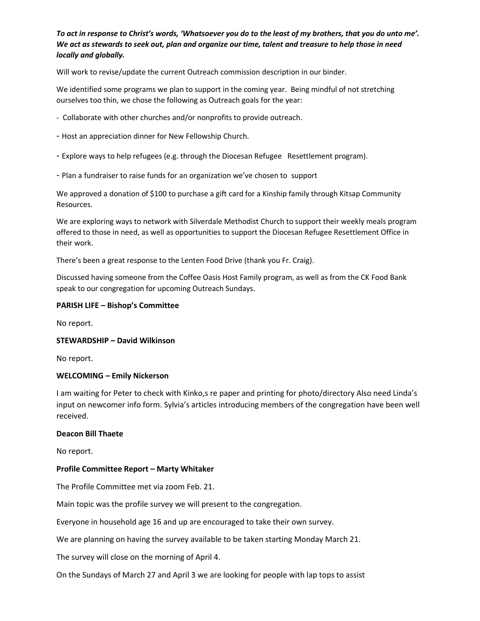# *To act in response to Christ's words, 'Whatsoever you do to the least of my brothers, that you do unto me'. We act as stewards to seek out, plan and organize our time, talent and treasure to help those in need locally and globally.*

Will work to revise/update the current Outreach commission description in our binder.

We identified some programs we plan to support in the coming year. Being mindful of not stretching ourselves too thin, we chose the following as Outreach goals for the year:

- Collaborate with other churches and/or nonprofits to provide outreach.
- Host an appreciation dinner for New Fellowship Church.
- Explore ways to help refugees (e.g. through the Diocesan Refugee Resettlement program).
- Plan a fundraiser to raise funds for an organization we've chosen to support

We approved a donation of \$100 to purchase a gift card for a Kinship family through Kitsap Community Resources.

We are exploring ways to network with Silverdale Methodist Church to support their weekly meals program offered to those in need, as well as opportunities to support the Diocesan Refugee Resettlement Office in their work.

There's been a great response to the Lenten Food Drive (thank you Fr. Craig).

Discussed having someone from the Coffee Oasis Host Family program, as well as from the CK Food Bank speak to our congregation for upcoming Outreach Sundays.

### **PARISH LIFE – Bishop's Committee**

No report.

#### **STEWARDSHIP – David Wilkinson**

No report.

#### **WELCOMING – Emily Nickerson**

I am waiting for Peter to check with Kinko,s re paper and printing for photo/directory Also need Linda's input on newcomer info form. Sylvia's articles introducing members of the congregation have been well received.

#### **Deacon Bill Thaete**

No report.

#### **Profile Committee Report – Marty Whitaker**

The Profile Committee met via zoom Feb. 21.

Main topic was the profile survey we will present to the congregation.

Everyone in household age 16 and up are encouraged to take their own survey.

We are planning on having the survey available to be taken starting Monday March 21.

The survey will close on the morning of April 4.

On the Sundays of March 27 and April 3 we are looking for people with lap tops to assist